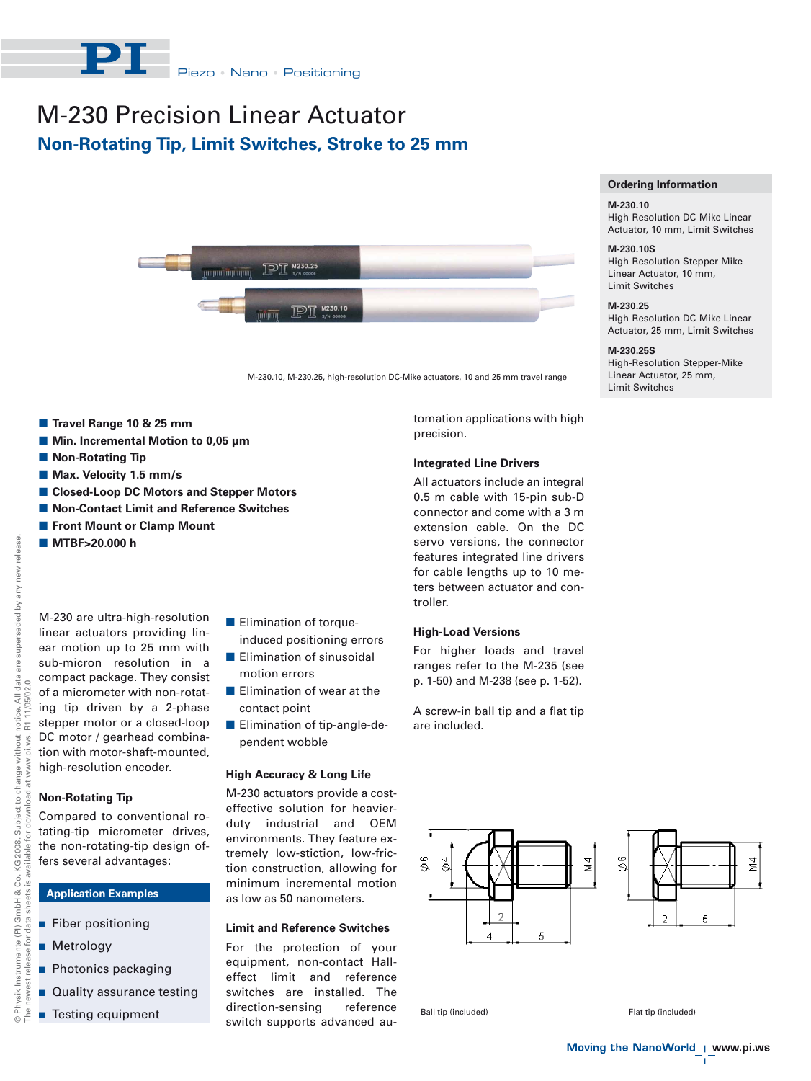

# M-230 Precision Linear Actuator **Non-Rotating Tip, Limit Switches, Stroke to 25 mm**



M-230.10, M-230.25, high-resolution DC-Mike actuators, 10 and 25 mm travel range

- $\blacksquare$  **Travel Range 10 & 25 mm**
- **Min. Incremental Motion to 0,05 μm**
- $\blacksquare$  **Non-Rotating Tip**
- **Max. Velocity 1.5 mm/s**
- -**Closed-Loop DC Motors and Stepper Motors**
- Non-Contact Limit and Reference Switches
- **E** Front Mount or Clamp Mount
- **MTBF>20.000 h**

M-230 are ultra-high-resolution linear actuators providing linear motion up to 25 mm with sub-micron resolution in a compact package. They consist of a micrometer with non-rotating tip driven by a 2-phase stepper motor or a closed-loop DC motor / gearhead combination with motor-shaft-mounted, high-resolution encoder.

### **Non-Rotating Tip**

Compared to conventional rotating-tip micrometer drives, the non-rotating-tip design offers several advantages:

## **Application Examples**

- **Fiber positioning**
- **Metrology**
- **Photonics packaging**
- **Quality assurance testing**
- **Testing equipment**
- **Elimination of torque**induced positioning errors
- **Elimination of sinusoidal** motion errors
- **Elimination of wear at the** contact point
- **Elimination of tip-angle-de**pendent wobble

#### **High Accuracy & Long Life**

M-230 actuators provide a costeffective solution for heavierduty industrial and OEM environments. They feature extremely low-stiction, low-friction construction, allowing for minimum incremental motion as low as 50 nanometers.

#### **Limit and Reference Switches**

For the protection of your equipment, non-contact Halleffect limit and reference switches are installed. The direction-sensing reference switch supports advanced automation applications with high precision.

#### **Integrated Line Drivers**

All actuators include an integral 0.5 m cable with 15-pin sub-D connector and come with a 3 m extension cable. On the DC servo versions, the connector features integrated line drivers for cable lengths up to 10 meters between actuator and controller.

## **High-Load Versions**

For higher loads and travel ranges refer to the M-235 (see p. 1-50) and M-238 (see p. 1-52).

A screw-in ball tip and a flat tip are included.



**Ordering Information**

High-Resolution DC-Mike Linear Actuator, 10 mm, Limit Switches

High-Resolution Stepper-Mike Linear Actuator, 10 mm, Limit Switches **M-230.25**

High-Resolution DC-Mike Linear Actuator, 25 mm, Limit Switches

High-Resolution Stepper-Mike Linear Actuator, 25 mm, Limit Switches

**M-230.10**

**M-230.10S**

**M-230.25S**

NWV.